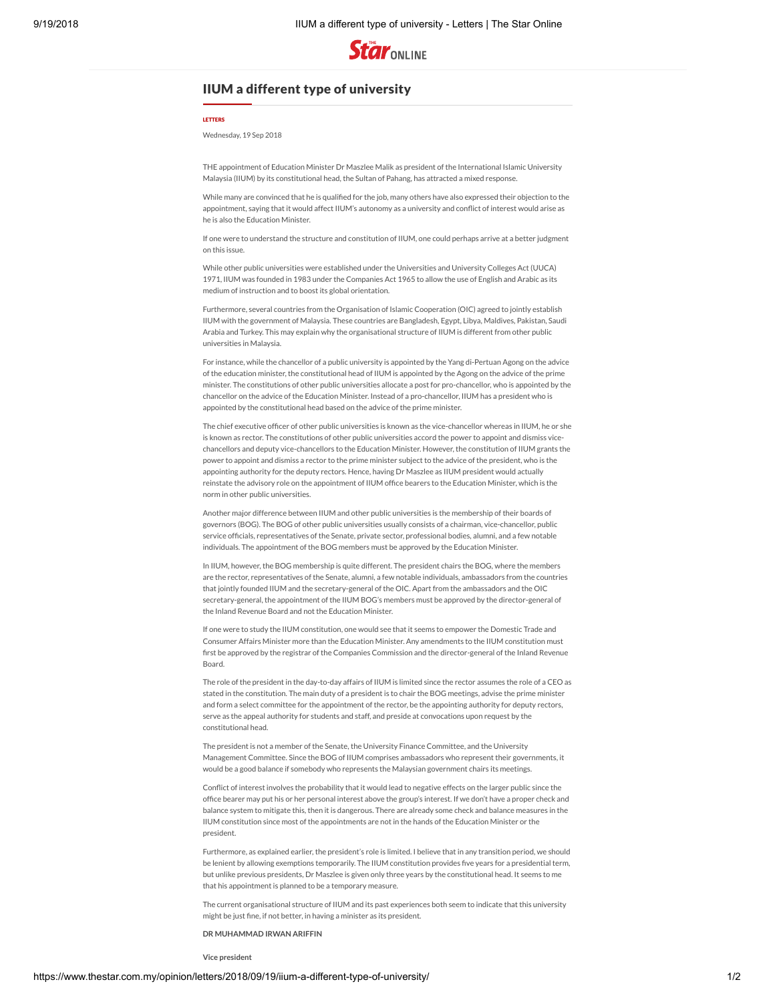

## IIUM a different type of university

## [LETTERS](https://www.thestar.com.my/opinion/letters)

Wednesday, 19 Sep 2018

THE appointment of Education Minister Dr Maszlee Malik as president of the International Islamic University Malaysia (IIUM) by its constitutional head, the Sultan of Pahang, has attracted a mixed response.

While many are convinced that he is qualified for the job, many others have also expressed their objection to the appointment, saying that it would affect IIUM's autonomy as a university and conflict of interest would arise as he is also the Education Minister.

If one were to understand the structure and constitution of IIUM, one could perhaps arrive at a better judgment on this issue.

While other public universities were established under the Universities and University Colleges Act (UUCA) 1971, IIUM was founded in 1983 under the Companies Act 1965 to allow the use of English and Arabic as its medium of instruction and to boost its global orientation.

Furthermore, several countries from the Organisation of Islamic Cooperation (OIC) agreed to jointly establish IIUM with the government of Malaysia. These countries are Bangladesh, Egypt, Libya, Maldives, Pakistan, Saudi Arabia and Turkey. This may explain why the organisational structure of IIUM is different from other public universities in Malaysia.

For instance, while the chancellor of a public university is appointed by the Yang di-Pertuan Agong on the advice of the education minister, the constitutional head of IIUM is appointed by the Agong on the advice of the prime minister. The constitutions of other public universities allocate a post for pro-chancellor, who is appointed by the chancellor on the advice of the Education Minister. Instead of a pro-chancellor, IIUM has a president who is appointed by the constitutional head based on the advice of the prime minister.

The chief executive officer of other public universities is known as the vice-chancellor whereas in IIUM, he or she is known as rector. The constitutions of other public universities accord the power to appoint and dismiss vicechancellors and deputy vice-chancellors to the Education Minister. However, the constitution of IIUM grants the power to appoint and dismiss a rector to the prime minister subject to the advice of the president, who is the appointing authority for the deputy rectors. Hence, having Dr Maszlee as IIUM president would actually reinstate the advisory role on the appointment of IIUM office bearers to the Education Minister, which is the norm in other public universities.

Another major difference between IIUM and other public universities is the membership of their boards of governors (BOG). The BOG of other public universities usually consists of a chairman, vice-chancellor, public service officials, representatives of the Senate, private sector, professional bodies, alumni, and a few notable individuals. The appointment of the BOG members must be approved by the Education Ministe

In IIUM, however, the BOG membership is quite different. The president chairs the BOG, where the members are the rector, representatives of the Senate, alumni, a few notable individuals, ambassadors from the countries that jointly founded IIUM and the secretary-general of the OIC. Apart from the ambassadors and the OIC secretary-general, the appointment of the IIUM BOG's members must be approved by the director-general of the Inland Revenue Board and not the Education Minister.

If one were to study the IIUM constitution, one would see that it seems to empower the Domestic Trade and Consumer Affairs Minister more than the Education Minister. Any amendments to the IIUM constitution must first be approved by the registrar of the Companies Commission and the director-general of the Inland Revenue Board.

The role of the president in the day-to-day affairs of IIUM is limited since the rector assumes the role of a CEO as stated in the constitution. The main duty of a president is to chair the BOG meetings, advise the prime minister and form a select committee for the appointment of the rector, be the appointing authority for deputy rectors, serve as the appeal authority for students and staff, and preside at convocations upon request by the constitutional head.

The president is not a member of the Senate, the University Finance Committee, and the University Management Committee. Since the BOG of IIUM comprises ambassadors who represent their governments, it would be a good balance if somebody who represents the Malaysian government chairs its meetings.

Conflict of interest involves the probability that it would lead to negative effects on the larger public since the office bearer may put his or her personal interest above the group's interest. If we don't have a proper check and balance system to mitigate this, then it is dangerous. There are already some check and balance measures in the IIUM constitution since most of the appointments are not in the hands of the Education Minister or the president.

Furthermore, as explained earlier, the president's role is limited. I believe that in any transition period, we should be lenient by allowing exemptions temporarily. The IIUM constitution provides five years for a presidential term, but unlike previous presidents, Dr Maszlee is given only three years by the constitutional head. It seems to me that his appointment is planned to be a temporary measure.

The current organisational structure of IIUM and its past experiences both seem to indicate that this university might be just fine, if not better, in having a minister as its president.

**DR MUHAMMAD IRWAN ARIFFIN**

**Vice president**